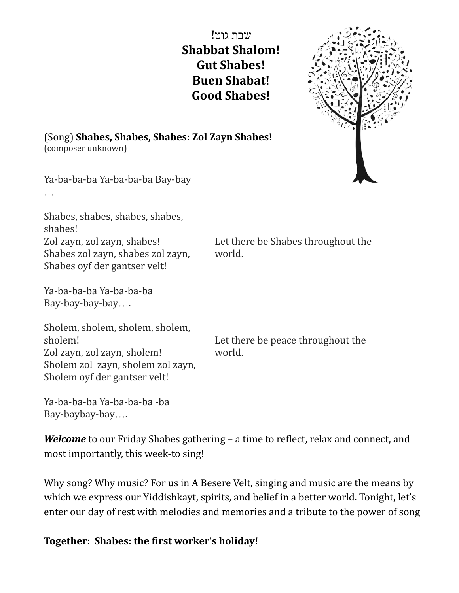שבת גוט**! Shabbat Shalom! Gut Shabes! Buen Shabat! Good Shabes!**

world.



(Song) **Shabes, Shabes, Shabes: Zol Zayn Shabes!** (composer unknown)

Ya-ba-ba-ba Ya-ba-ba-ba Bay-bay …

Shabes, shabes, shabes, shabes, shabes! Zol zayn, zol zayn, shabes! Shabes zol zayn, shabes zol zayn, Shabes oyf der gantser velt!

Ya-ba-ba-ba Ya-ba-ba-ba Bay-bay-bay-bay….

Sholem, sholem, sholem, sholem, sholem! Zol zayn, zol zayn, sholem! Sholem zol zayn, sholem zol zayn, Sholem oyf der gantser velt!

Ya-ba-ba-ba Ya-ba-ba-ba -ba Bay-baybay-bay….

Let there be peace throughout the world.

Let there be Shabes throughout the

*Welcome* to our Friday Shabes gathering – a time to reflect, relax and connect, and most importantly, this week-to sing!

Why song? Why music? For us in A Besere Velt, singing and music are the means by which we express our Yiddishkayt, spirits, and belief in a better world. Tonight, let's enter our day of rest with melodies and memories and a tribute to the power of song

## **Together: Shabes: the first worker**'**s holiday!**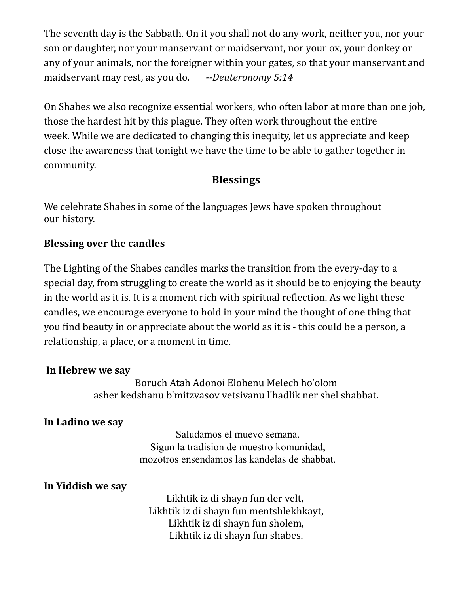The seventh day is the Sabbath. On it you shall not do any work, neither you, nor your son or daughter, nor your manservant or maidservant, nor your ox, your donkey or any of your animals, nor the foreigner within your gates, so that your manservant and maidservant may rest, as you do. *--Deuteronomy 5:14*

On Shabes we also recognize essential workers, who often labor at more than one job, those the hardest hit by this plague. They often work throughout the entire week. While we are dedicated to changing this inequity, let us appreciate and keep close the awareness that tonight we have the time to be able to gather together in community.

# **Blessings**

We celebrate Shabes in some of the languages Jews have spoken throughout our history.

# **Blessing over the candles**

The Lighting of the Shabes candles marks the transition from the every-day to a special day, from struggling to create the world as it should be to enjoying the beauty in the world as it is. It is a moment rich with spiritual reflection. As we light these candles, we encourage everyone to hold in your mind the thought of one thing that you find beauty in or appreciate about the world as it is - this could be a person, a relationship, a place, or a moment in time.

# **In Hebrew we say**

Boruch Atah Adonoi Elohenu Melech ho'olom asher kedshanu b'mitzvasov vetsivanu l'hadlik ner shel shabbat.

# **In Ladino we say**

Saludamos el muevo semana. Sigun la tradision de muestro komunidad, mozotros ensendamos las kandelas de shabbat.

# **In Yiddish we say**

Likhtik iz di shayn fun der velt, Likhtik iz di shayn fun mentshlekhkayt, Likhtik iz di shayn fun sholem, Likhtik iz di shayn fun shabes.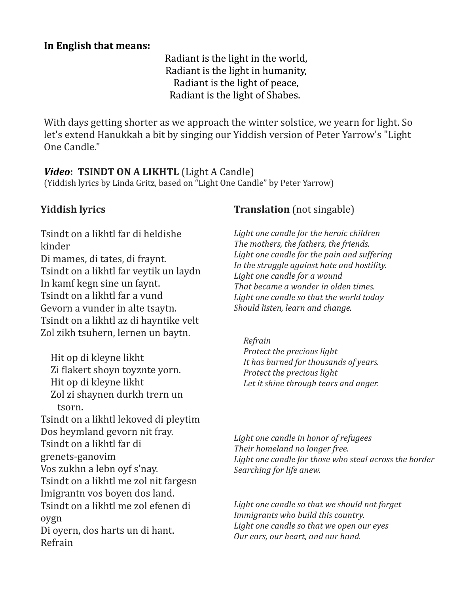## **In English that means:**

Radiant is the light in the world, Radiant is the light in humanity, Radiant is the light of peace, Radiant is the light of Shabes.

With days getting shorter as we approach the winter solstice, we yearn for light. So let's extend Hanukkah a bit by singing our Yiddish version of Peter Yarrow's "Light One Candle."

## *Video***: TSINDT ON A LIKHTL** (Light A Candle)

(Yiddish lyrics by Linda Gritz, based on "Light One Candle" by Peter Yarrow)

Tsindt on a likhtl far di heldishe kinder Di mames, di tates, di fraynt. Tsindt on a likhtl far veytik un laydn In kamf kegn sine un faynt. Tsindt on a likhtl far a vund Gevorn a vunder in alte tsaytn. Tsindt on a likhtl az di hayntike velt Zol zikh tsuhern, lernen un baytn.

Hit op di kleyne likht Zi flakert shoyn toyznte yorn. Hit op di kleyne likht Zol zi shaynen durkh trern un tsorn. Tsindt on a likhtl lekoved di pleytim Dos heymland gevorn nit fray. Tsindt on a likhtl far di grenets-ganovim Vos zukhn a lebn oyf s'nay. Tsindt on a likhtl me zol nit fargesn Imigrantn vos boyen dos land. Tsindt on a likhtl me zol efenen di oygn Di oyern, dos harts un di hant. Refrain

# **Yiddish lyrics Translation** (not singable)

*Light one candle for the heroic children The mothers, the fathers, the friends. Light one candle for the pain and suffering In the struggle against hate and hostility. Light one candle for a wound That became a wonder in olden times. Light one candle so that the world today Should listen, learn and change.*

*Refrain Protect the precious light It has burned for thousands of years. Protect the precious light Let it shine through tears and anger.*

*Light one candle in honor of refugees Their homeland no longer free. Light one candle for those who steal across the border Searching for life anew.*

*Light one candle so that we should not forget Immigrants who build this country. Light one candle so that we open our eyes Our ears, our heart, and our hand.*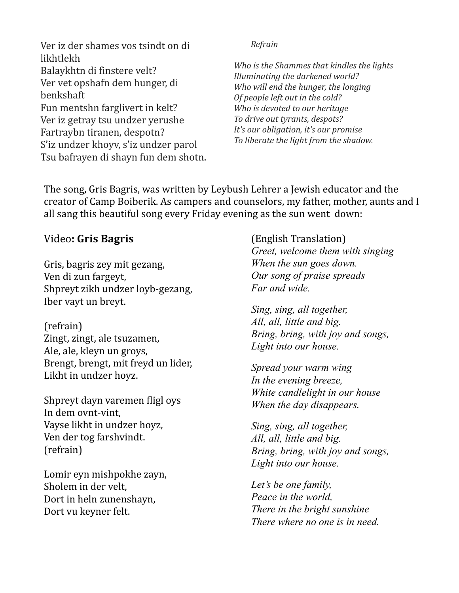Ver iz der shames vos tsindt on di likhtlekh Balaykhtn di finstere velt? Ver vet opshafn dem hunger, di benkshaft Fun mentshn farglivert in kelt? Ver iz getray tsu undzer yerushe Fartraybn tiranen, despotn? S'iz undzer khoyv, s'iz undzer parol Tsu bafrayen di shayn fun dem shotn. *Refrain*

*Who is the Shammes that kindles the lights Illuminating the darkened world? Who will end the hunger, the longing Of people left out in the cold? Who is devoted to our heritage To drive out tyrants, despots? It's our obligation, it's our promise To liberate the light from the shadow.*

The song, Gris Bagris, was written by Leybush Lehrer a Jewish educator and the creator of Camp Boiberik. As campers and counselors, my father, mother, aunts and I all sang this beautiful song every Friday evening as the sun went down:

# Video**: Gris Bagris**

Gris, bagris zey mit gezang, Ven di zun fargeyt, Shpreyt zikh undzer loyb-gezang, Iber vayt un breyt.

(refrain) Zingt, zingt, ale tsuzamen, Ale, ale, kleyn un groys, Brengt, brengt, mit freyd un lider, Likht in undzer hoyz.

Shpreyt dayn varemen fligl oys In dem ovnt-vint, Vayse likht in undzer hoyz, Ven der tog farshvindt. (refrain)

Lomir eyn mishpokhe zayn, Sholem in der velt, Dort in heln zunenshayn, Dort vu keyner felt.

(English Translation) *Greet, welcome them with singing When the sun goes down. Our song of praise spreads Far and wide.*

*Sing, sing, all together, All, all, little and big. Bring, bring, with joy and songs, Light into our house.*

*Spread your warm wing In the evening breeze, White candlelight in our house When the day disappears.*

*Sing, sing, all together, All, all, little and big. Bring, bring, with joy and songs, Light into our house.*

*Let's be one family, Peace in the world, There in the bright sunshine There where no one is in need.*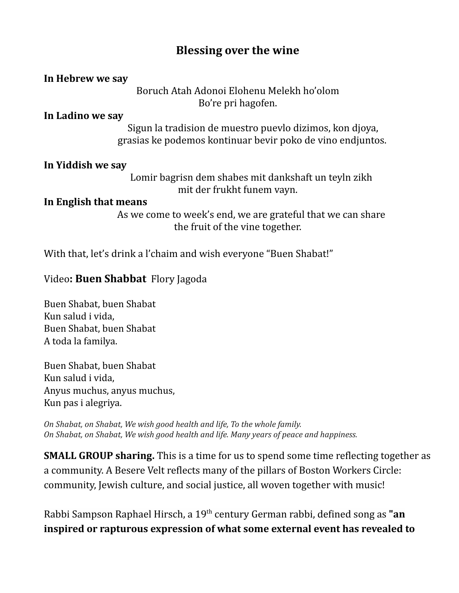# **Blessing over the wine**

| In Hebrew we say |                                           |
|------------------|-------------------------------------------|
|                  | Boruch Atah Adonoi Elohenu Melekh ho'olom |
|                  | Bo're pri hagofen.                        |

**In Ladino we say**

Sigun la tradision de muestro puevlo dizimos, kon djoya, grasias ke podemos kontinuar bevir poko de vino endjuntos.

### **In Yiddish we say**

Lomir bagrisn dem shabes mit dankshaft un teyln zikh mit der frukht funem vayn.

#### **In English that means**

As we come to week's end, we are grateful that we can share the fruit of the vine together.

With that, let's drink a l'chaim and wish everyone "Buen Shabat!"

## Video**: Buen Shabbat** Flory Jagoda

Buen Shabat, buen Shabat Kun salud i vida, Buen Shabat, buen Shabat A toda la familya.

Buen Shabat, buen Shabat Kun salud i vida, Anyus muchus, anyus muchus, Kun pas i alegriya.

*On Shabat, on Shabat, We wish good health and life, To the whole family. On Shabat, on Shabat, We wish good health and life. Many years of peace and happiness.*

**SMALL GROUP sharing.** This is a time for us to spend some time reflecting together as a community. A Besere Velt reflects many of the pillars of Boston Workers Circle: community, Jewish culture, and social justice, all woven together with music!

Rabbi Sampson Raphael Hirsch, a 19 th century German rabbi, defined song as **"an inspired or rapturous expression of what some external event has revealed to**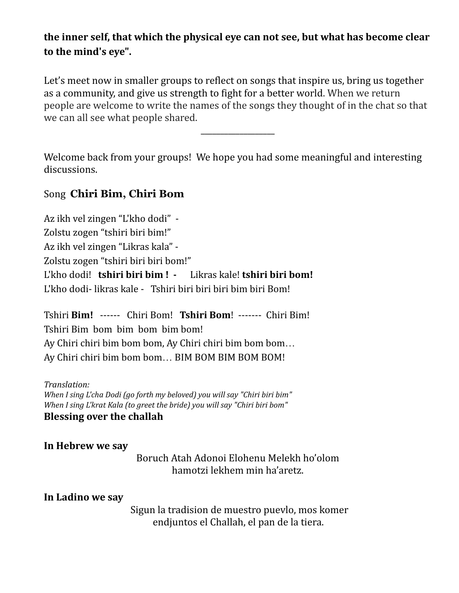# **the inner self, that which the physical eye can not see, but what has become clear to the mind's eye".**

Let's meet now in smaller groups to reflect on songs that inspire us, bring us together as a community, and give us strength to fight for a better world. When we return people are welcome to write the names of the songs they thought of in the chat so that we can all see what people shared.

\_\_\_\_\_\_\_\_\_\_\_\_\_\_\_\_\_\_\_

Welcome back from your groups! We hope you had some meaningful and interesting discussions.

# Song **Chiri Bim, Chiri Bom**

Az ikh vel zingen "L'kho dodi" - Zolstu zogen "tshiri biri bim!" Az ikh vel zingen "Likras kala" - Zolstu zogen "tshiri biri biri bom!" L'kho dodi! **tshiri biri bim ! -** Likras kale! **tshiri biri bom!** L'kho dodi- likras kale - Tshiri biri biri biri bim biri Bom!

Tshiri **Bim!** ------ Chiri Bom! **Tshiri Bom**! ------- Chiri Bim! Tshiri Bim bom bim bom bim bom! Ay Chiri chiri bim bom bom, Ay Chiri chiri bim bom bom... Ay Chiri chiri bim bom bom... BIM BOM BIM BOM BOM!

*Translation: When I sing L'cha Dodi (go forth my beloved) you will say "Chiri biri bim" When I sing L'krat Kala (to greet the bride) you will say "Chiri biri bom"* **Blessing over the challah**

**In Hebrew we say**

Boruch Atah Adonoi Elohenu Melekh ho'olom hamotzi lekhem min ha'aretz.

**In Ladino we say**

Sigun la tradision de muestro puevlo, mos komer endjuntos el Challah, el pan de la tiera.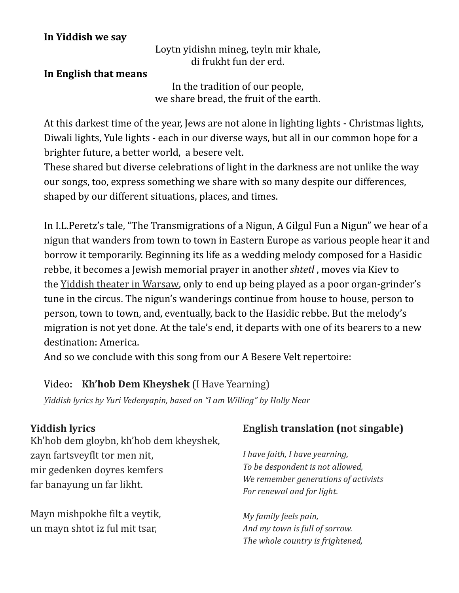## **In Yiddish we say**

Loytn yidishn mineg, teyln mir khale, di frukht fun der erd.

### **In English that means**

In the tradition of our people, we share bread, the fruit of the earth.

At this darkest time of the year, Jews are not alone in lighting lights - Christmas lights, Diwali lights, Yule lights - each in our diverse ways, but all in our common hope for a brighter future, a better world, a besere velt.

These shared but diverse celebrations of light in the darkness are not unlike the way our songs, too, express something we share with so many despite our differences, shaped by our different situations, places, and times.

In I.L.Peretz's tale, "The Transmigrations of a Nigun, A Gilgul Fun a Nigun" we hear of a nigun that wanders from town to town in Eastern Europe as various people hear it and borrow it temporarily. Beginning its life as a wedding melody composed for a Hasidic rebbe, it becomes a Jewish memorial prayer in another *shtetl* , moves via Kiev to the Yiddish theater in [Warsaw,](https://www.myjewishlearning.com/article/yiddish-theatre-in-europe/) only to end up being played as a poor organ-grinder's tune in the circus. The nigun's wanderings continue from house to house, person to person, town to town, and, eventually, back to the Hasidic rebbe. But the melody's migration is not yet done. At the tale's end, it departs with one of its bearers to a new destination: America.

And so we conclude with this song from our A Besere Velt repertoire:

## Video**: Kh'hob Dem Kheyshek** (I Have Yearning)

*ַYiddish lyrics by Yuri Vedenyapin, based on "I am Willing" by Holly Near*

Kh'hob dem gloybn, kh'hob dem kheyshek, zayn fartsveyflt tor men nit, mir gedenken doyres kemfers far banayung un far likht.

Mayn mishpokhe filt a veytik, un mayn shtot iz ful mit tsar,

# **Yiddish lyrics English translation (not singable)**

*I have faith, I have yearning, To be despondent is not allowed, We remember generations of activists For renewal and for light.*

*My family feels pain, And my town is full of sorrow. The whole country is frightened,*